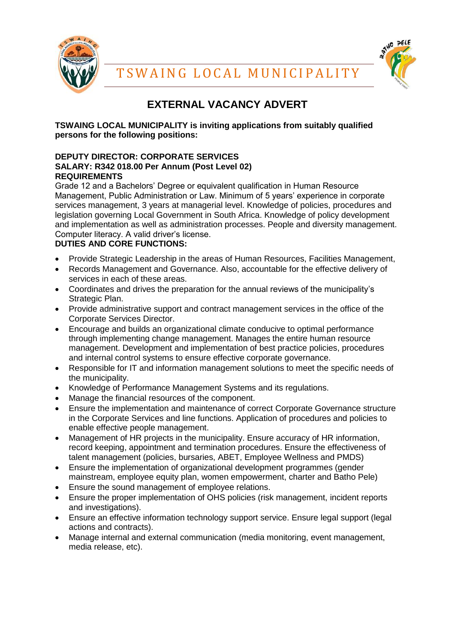



# **EXTERNAL VACANCY ADVERT**

**TSWAING LOCAL MUNICIPALITY is inviting applications from suitably qualified persons for the following positions:** 

## **DEPUTY DIRECTOR: CORPORATE SERVICES SALARY: R342 018.00 Per Annum (Post Level 02) REQUIREMENTS**

Grade 12 and a Bachelors' Degree or equivalent qualification in Human Resource Management, Public Administration or Law. Minimum of 5 years' experience in corporate services management, 3 years at managerial level. Knowledge of policies, procedures and legislation governing Local Government in South Africa. Knowledge of policy development and implementation as well as administration processes. People and diversity management. Computer literacy. A valid driver's license.

# **DUTIES AND CORE FUNCTIONS:**

- Provide Strategic Leadership in the areas of Human Resources, Facilities Management,
- Records Management and Governance. Also, accountable for the effective delivery of services in each of these areas.
- Coordinates and drives the preparation for the annual reviews of the municipality's Strategic Plan.
- Provide administrative support and contract management services in the office of the Corporate Services Director.
- Encourage and builds an organizational climate conducive to optimal performance through implementing change management. Manages the entire human resource management. Development and implementation of best practice policies, procedures and internal control systems to ensure effective corporate governance.
- Responsible for IT and information management solutions to meet the specific needs of the municipality.
- Knowledge of Performance Management Systems and its regulations.
- Manage the financial resources of the component.
- Ensure the implementation and maintenance of correct Corporate Governance structure in the Corporate Services and line functions. Application of procedures and policies to enable effective people management.
- Management of HR projects in the municipality. Ensure accuracy of HR information, record keeping, appointment and termination procedures. Ensure the effectiveness of talent management (policies, bursaries, ABET, Employee Wellness and PMDS)
- Ensure the implementation of organizational development programmes (gender mainstream, employee equity plan, women empowerment, charter and Batho Pele)
- Ensure the sound management of employee relations.
- Ensure the proper implementation of OHS policies (risk management, incident reports and investigations).
- Ensure an effective information technology support service. Ensure legal support (legal actions and contracts).
- Manage internal and external communication (media monitoring, event management, media release, etc).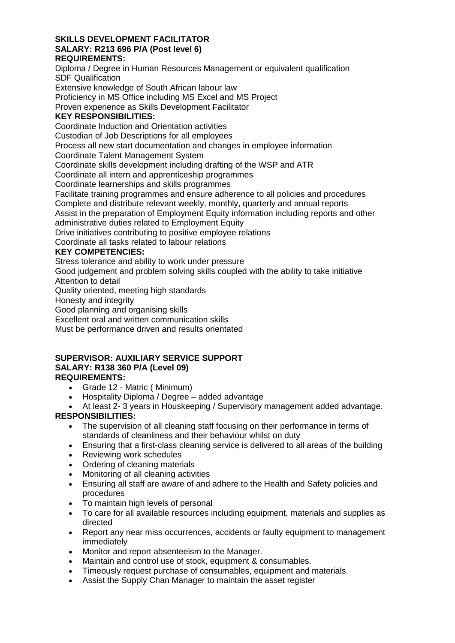#### **SKILLS DEVELOPMENT FACILITATOR SALARY: R213 696 P/A (Post level 6) REQUIREMENTS:**

Diploma / Degree in Human Resources Management or equivalent qualification SDF Qualification

Extensive knowledge of South African labour law

Proficiency in MS Office including MS Excel and MS Project

Proven experience as Skills Development Facilitator

# **KEY RESPONSIBILITIES:**

Coordinate Induction and Orientation activities

Custodian of Job Descriptions for all employees

Process all new start documentation and changes in employee information

Coordinate Talent Management System

Coordinate skills development including drafting of the WSP and ATR

Coordinate all intern and apprenticeship programmes

Coordinate learnerships and skills programmes

Facilitate training programmes and ensure adherence to all policies and procedures

Complete and distribute relevant weekly, monthly, quarterly and annual reports

Assist in the preparation of Employment Equity information including reports and other

administrative duties related to Employment Equity

Drive initiatives contributing to positive employee relations

Coordinate all tasks related to labour relations

## **KEY COMPETENCIES:**

Stress tolerance and ability to work under pressure

Good judgement and problem solving skills coupled with the ability to take initiative Attention to detail

Quality oriented, meeting high standards

Honesty and integrity

Good planning and organising skills

Excellent oral and written communication skills

Must be performance driven and results orientated

#### **SUPERVISOR: AUXILIARY SERVICE SUPPORT SALARY: R138 360 P/A (Level 09) REQUIREMENTS:**

- Grade 12 Matric ( Minimum)
- Hospitality Diploma / Degree added advantage
- At least 2- 3 years in Houskeeping / Supervisory management added advantage. **RESPONSIBILITIES:**
	- The supervision of all cleaning staff focusing on their performance in terms of standards of cleanliness and their behaviour whilst on duty
	- Ensuring that a first-class cleaning service is delivered to all areas of the building
	- Reviewing work schedules
	- Ordering of cleaning materials
	- Monitoring of all cleaning activities
	- Ensuring all staff are aware of and adhere to the Health and Safety policies and procedures
	- To maintain high levels of personal
	- To care for all available resources including equipment, materials and supplies as directed
	- Report any near miss occurrences, accidents or faulty equipment to management immediately
	- Monitor and report absenteeism to the Manager.
	- Maintain and control use of stock, equipment & consumables.
	- Timeously request purchase of consumables, equipment and materials.
	- Assist the Supply Chan Manager to maintain the asset register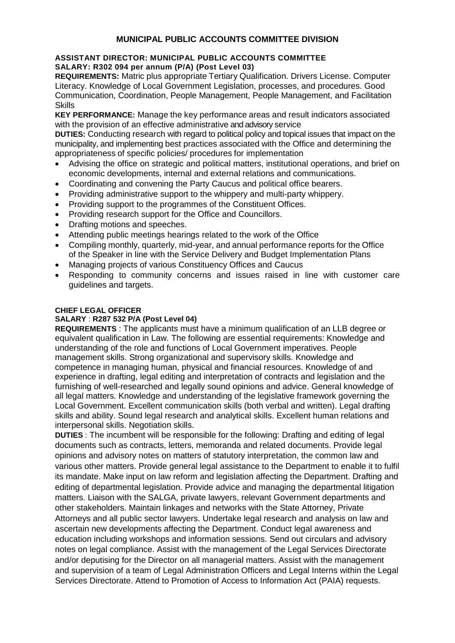# **MUNICIPAL PUBLIC ACCOUNTS COMMITTEE DIVISION**

#### **ASSISTANT DIRECTOR: MUNICIPAL PUBLIC ACCOUNTS COMMITTEE SALARY: R302 094 per annum (P/A) (Post Level 03)**

**REQUIREMENTS:** Matric plus appropriate Tertiary Qualification. Drivers License. Computer Literacy. Knowledge of Local Government Legislation, processes, and procedures. Good Communication, Coordination, People Management, People Management, and Facilitation Skills

**KEY PERFORMANCE:** Manage the key performance areas and result indicators associated with the provision of an effective administrative and advisory service

**DUTIES:** Conducting research with regard to political policy and topical issues that impact on the municipality, and implementing best practices associated with the Office and determining the appropriateness of specific policies/ procedures for implementation

- Advising the office on strategic and political matters, institutional operations, and brief on economic developments, internal and external relations and communications.
- Coordinating and convening the Party Caucus and political office bearers.
- Providing administrative support to the whippery and multi-party whippery.
- Providing support to the programmes of the Constituent Offices.
- Providing research support for the Office and Councillors.
- Drafting motions and speeches.
- Attending public meetings hearings related to the work of the Office
- Compiling monthly, quarterly, mid-year, and annual performance reports for the Office of the Speaker in line with the Service Delivery and Budget Implementation Plans
- Managing projects of various Constituency Offices and Caucus
- Responding to community concerns and issues raised in line with customer care guidelines and targets.

#### **CHIEF LEGAL OFFICER**

#### **SALARY** : **R287 532 P/A (Post Level 04)**

**REQUIREMENTS** : The applicants must have a minimum qualification of an LLB degree or equivalent qualification in Law. The following are essential requirements: Knowledge and understanding of the role and functions of Local Government imperatives. People management skills. Strong organizational and supervisory skills. Knowledge and competence in managing human, physical and financial resources. Knowledge of and experience in drafting, legal editing and interpretation of contracts and legislation and the furnishing of well-researched and legally sound opinions and advice. General knowledge of all legal matters. Knowledge and understanding of the legislative framework governing the Local Government. Excellent communication skills (both verbal and written). Legal drafting skills and ability. Sound legal research and analytical skills. Excellent human relations and interpersonal skills. Negotiation skills.

**DUTIES** : The incumbent will be responsible for the following: Drafting and editing of legal documents such as contracts, letters, memoranda and related documents. Provide legal opinions and advisory notes on matters of statutory interpretation, the common law and various other matters. Provide general legal assistance to the Department to enable it to fulfil its mandate. Make input on law reform and legislation affecting the Department. Drafting and editing of departmental legislation. Provide advice and managing the departmental litigation matters. Liaison with the SALGA, private lawyers, relevant Government departments and other stakeholders. Maintain linkages and networks with the State Attorney, Private Attorneys and all public sector lawyers. Undertake legal research and analysis on law and ascertain new developments affecting the Department. Conduct legal awareness and education including workshops and information sessions. Send out circulars and advisory notes on legal compliance. Assist with the management of the Legal Services Directorate and/or deputising for the Director on all managerial matters. Assist with the management and supervision of a team of Legal Administration Officers and Legal Interns within the Legal Services Directorate. Attend to Promotion of Access to Information Act (PAIA) requests.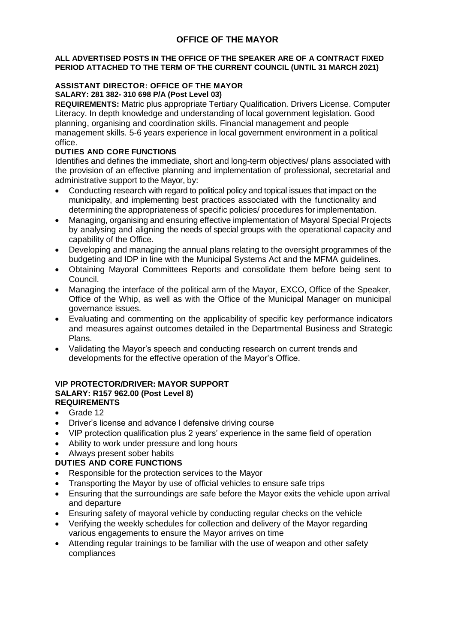# **OFFICE OF THE MAYOR**

#### **ALL ADVERTISED POSTS IN THE OFFICE OF THE SPEAKER ARE OF A CONTRACT FIXED PERIOD ATTACHED TO THE TERM OF THE CURRENT COUNCIL (UNTIL 31 MARCH 2021)**

# **ASSISTANT DIRECTOR: OFFICE OF THE MAYOR**

**SALARY: 281 382- 310 698 P/A (Post Level 03)**

**REQUIREMENTS:** Matric plus appropriate Tertiary Qualification. Drivers License. Computer Literacy. In depth knowledge and understanding of local government legislation. Good planning, organising and coordination skills. Financial management and people management skills. 5-6 years experience in local government environment in a political office.

# **DUTIES AND CORE FUNCTIONS**

Identifies and defines the immediate, short and long-term objectives/ plans associated with the provision of an effective planning and implementation of professional, secretarial and administrative support to the Mayor, by:

- Conducting research with regard to political policy and topical issues that impact on the municipality, and implementing best practices associated with the functionality and determining the appropriateness of specific policies/ procedures for implementation.
- Managing, organising and ensuring effective implementation of Mayoral Special Projects by analysing and aligning the needs of special groups with the operational capacity and capability of the Office.
- Developing and managing the annual plans relating to the oversight programmes of the budgeting and IDP in line with the Municipal Systems Act and the MFMA guidelines.
- Obtaining Mayoral Committees Reports and consolidate them before being sent to Council.
- Managing the interface of the political arm of the Mayor, EXCO, Office of the Speaker, Office of the Whip, as well as with the Office of the Municipal Manager on municipal governance issues.
- Evaluating and commenting on the applicability of specific key performance indicators and measures against outcomes detailed in the Departmental Business and Strategic Plans.
- Validating the Mayor's speech and conducting research on current trends and developments for the effective operation of the Mayor's Office.

#### **VIP PROTECTOR/DRIVER: MAYOR SUPPORT SALARY: R157 962.00 (Post Level 8) REQUIREMENTS**

- Grade 12
- Driver's license and advance I defensive driving course
- VIP protection qualification plus 2 years' experience in the same field of operation
- Ability to work under pressure and long hours
- Always present sober habits

# **DUTIES AND CORE FUNCTIONS**

- Responsible for the protection services to the Mayor
- Transporting the Mayor by use of official vehicles to ensure safe trips
- Ensuring that the surroundings are safe before the Mayor exits the vehicle upon arrival and departure
- Ensuring safety of mayoral vehicle by conducting regular checks on the vehicle
- Verifying the weekly schedules for collection and delivery of the Mayor regarding various engagements to ensure the Mayor arrives on time
- Attending regular trainings to be familiar with the use of weapon and other safety compliances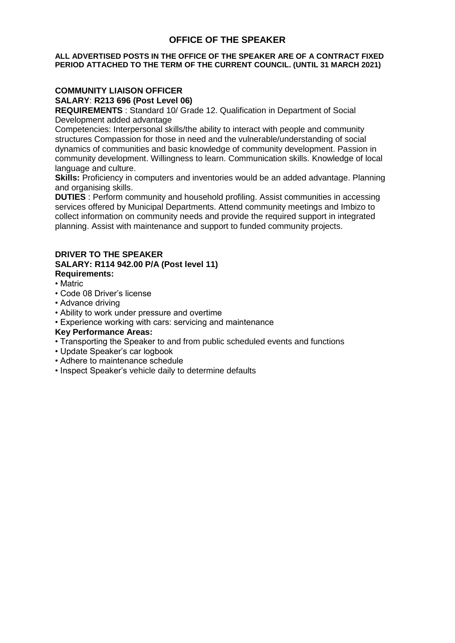# **OFFICE OF THE SPEAKER**

#### **ALL ADVERTISED POSTS IN THE OFFICE OF THE SPEAKER ARE OF A CONTRACT FIXED PERIOD ATTACHED TO THE TERM OF THE CURRENT COUNCIL. (UNTIL 31 MARCH 2021)**

# **COMMUNITY LIAISON OFFICER**

**SALARY**: **R213 696 (Post Level 06)**

**REQUIREMENTS** : Standard 10/ Grade 12. Qualification in Department of Social Development added advantage

Competencies: Interpersonal skills/the ability to interact with people and community structures Compassion for those in need and the vulnerable/understanding of social dynamics of communities and basic knowledge of community development. Passion in community development. Willingness to learn. Communication skills. Knowledge of local language and culture.

**Skills:** Proficiency in computers and inventories would be an added advantage. Planning and organising skills.

**DUTIES** : Perform community and household profiling. Assist communities in accessing services offered by Municipal Departments. Attend community meetings and Imbizo to collect information on community needs and provide the required support in integrated planning. Assist with maintenance and support to funded community projects.

#### **DRIVER TO THE SPEAKER SALARY: R114 942.00 P/A (Post level 11) Requirements:**

- Matric
- Code 08 Driver's license
- Advance driving
- Ability to work under pressure and overtime
- Experience working with cars: servicing and maintenance

## **Key Performance Areas:**

- Transporting the Speaker to and from public scheduled events and functions
- Update Speaker's car logbook
- Adhere to maintenance schedule
- Inspect Speaker's vehicle daily to determine defaults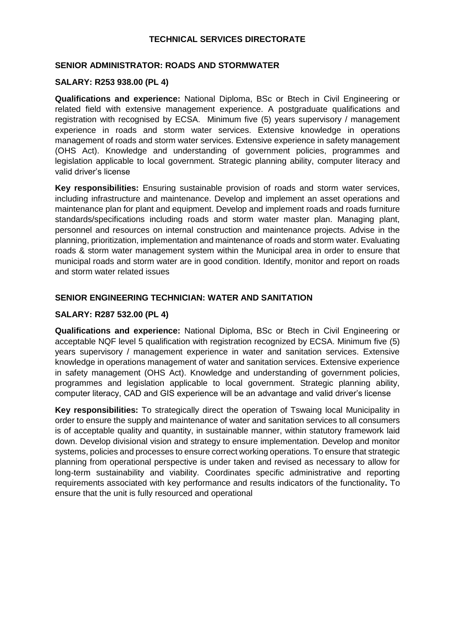## **TECHNICAL SERVICES DIRECTORATE**

### **SENIOR ADMINISTRATOR: ROADS AND STORMWATER**

#### **SALARY: R253 938.00 (PL 4)**

**Qualifications and experience:** National Diploma, BSc or Btech in Civil Engineering or related field with extensive management experience. A postgraduate qualifications and registration with recognised by ECSA. Minimum five (5) years supervisory / management experience in roads and storm water services. Extensive knowledge in operations management of roads and storm water services. Extensive experience in safety management (OHS Act). Knowledge and understanding of government policies, programmes and legislation applicable to local government. Strategic planning ability, computer literacy and valid driver's license

**Key responsibilities:** Ensuring sustainable provision of roads and storm water services, including infrastructure and maintenance. Develop and implement an asset operations and maintenance plan for plant and equipment. Develop and implement roads and roads furniture standards/specifications including roads and storm water master plan. Managing plant, personnel and resources on internal construction and maintenance projects. Advise in the planning, prioritization, implementation and maintenance of roads and storm water. Evaluating roads & storm water management system within the Municipal area in order to ensure that municipal roads and storm water are in good condition. Identify, monitor and report on roads and storm water related issues

## **SENIOR ENGINEERING TECHNICIAN: WATER AND SANITATION**

#### **SALARY: R287 532.00 (PL 4)**

**Qualifications and experience:** National Diploma, BSc or Btech in Civil Engineering or acceptable NQF level 5 qualification with registration recognized by ECSA. Minimum five (5) years supervisory / management experience in water and sanitation services. Extensive knowledge in operations management of water and sanitation services. Extensive experience in safety management (OHS Act). Knowledge and understanding of government policies, programmes and legislation applicable to local government. Strategic planning ability, computer literacy, CAD and GIS experience will be an advantage and valid driver's license

**Key responsibilities:** To strategically direct the operation of Tswaing local Municipality in order to ensure the supply and maintenance of water and sanitation services to all consumers is of acceptable quality and quantity, in sustainable manner, within statutory framework laid down. Develop divisional vision and strategy to ensure implementation. Develop and monitor systems, policies and processes to ensure correct working operations. To ensure that strategic planning from operational perspective is under taken and revised as necessary to allow for long-term sustainability and viability. Coordinates specific administrative and reporting requirements associated with key performance and results indicators of the functionality**.** To ensure that the unit is fully resourced and operational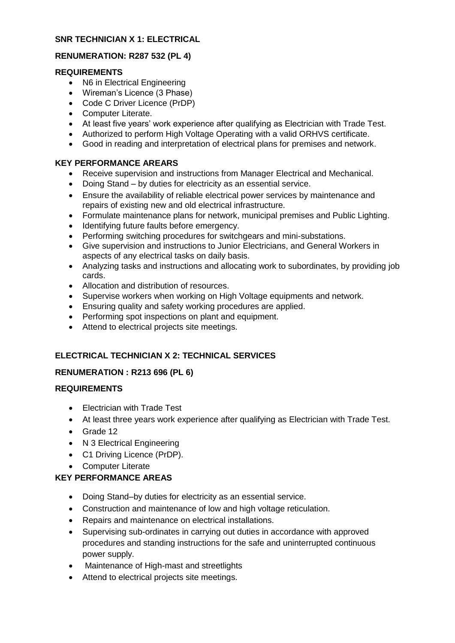## **SNR TECHNICIAN X 1: ELECTRICAL**

# **RENUMERATION: R287 532 (PL 4)**

## **REQUIREMENTS**

- N6 in Electrical Engineering
- Wireman's Licence (3 Phase)
- Code C Driver Licence (PrDP)
- Computer Literate.
- At least five years' work experience after qualifying as Electrician with Trade Test.
- Authorized to perform High Voltage Operating with a valid ORHVS certificate.
- Good in reading and interpretation of electrical plans for premises and network.

## **KEY PERFORMANCE AREARS**

- Receive supervision and instructions from Manager Electrical and Mechanical.
- Doing Stand by duties for electricity as an essential service.
- Ensure the availability of reliable electrical power services by maintenance and repairs of existing new and old electrical infrastructure.
- Formulate maintenance plans for network, municipal premises and Public Lighting.
- Identifying future faults before emergency.
- Performing switching procedures for switchgears and mini-substations.
- Give supervision and instructions to Junior Electricians, and General Workers in aspects of any electrical tasks on daily basis.
- Analyzing tasks and instructions and allocating work to subordinates, by providing job cards.
- Allocation and distribution of resources.
- Supervise workers when working on High Voltage equipments and network.
- Ensuring quality and safety working procedures are applied.
- Performing spot inspections on plant and equipment.
- Attend to electrical projects site meetings.

# **ELECTRICAL TECHNICIAN X 2: TECHNICAL SERVICES**

# **RENUMERATION : R213 696 (PL 6)**

# **REQUIREMENTS**

- Electrician with Trade Test
- At least three years work experience after qualifying as Electrician with Trade Test.
- Grade 12
- N 3 Electrical Engineering
- C1 Driving Licence (PrDP).
- Computer Literate

# **KEY PERFORMANCE AREAS**

- Doing Stand–by duties for electricity as an essential service.
- Construction and maintenance of low and high voltage reticulation.
- Repairs and maintenance on electrical installations.
- Supervising sub-ordinates in carrying out duties in accordance with approved procedures and standing instructions for the safe and uninterrupted continuous power supply.
- Maintenance of High-mast and streetlights
- Attend to electrical projects site meetings.